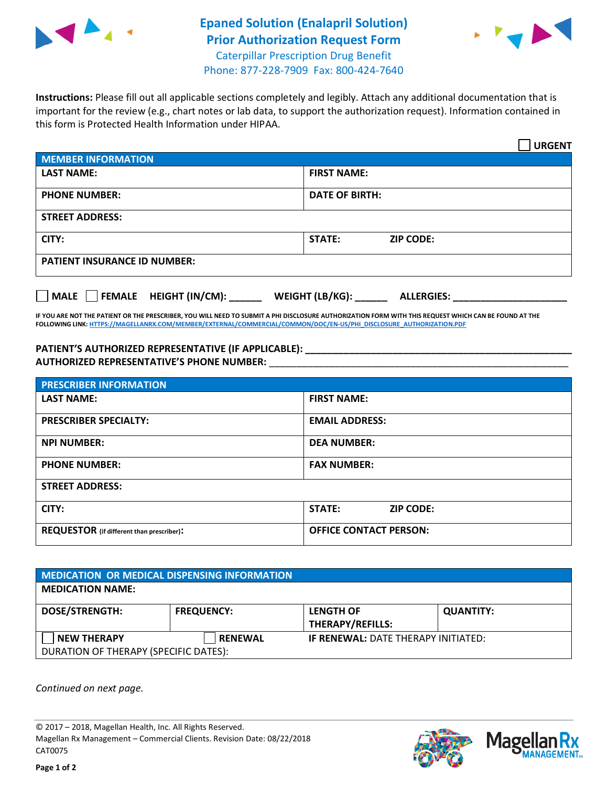

## **Epaned Solution (Enalapril Solution) Prior Authorization Request Form** Caterpillar Prescription Drug Benefit



Phone: 877-228-7909 Fax: 800-424-7640

**Instructions:** Please fill out all applicable sections completely and legibly. Attach any additional documentation that is important for the review (e.g., chart notes or lab data, to support the authorization request). Information contained in this form is Protected Health Information under HIPAA.

|                                       | <b>URGENT</b>                        |  |  |  |
|---------------------------------------|--------------------------------------|--|--|--|
| <b>MEMBER INFORMATION</b>             |                                      |  |  |  |
| <b>LAST NAME:</b>                     | <b>FIRST NAME:</b>                   |  |  |  |
| <b>PHONE NUMBER:</b>                  | <b>DATE OF BIRTH:</b>                |  |  |  |
| <b>STREET ADDRESS:</b>                |                                      |  |  |  |
| CITY:                                 | STATE:<br><b>ZIP CODE:</b>           |  |  |  |
| <b>PATIENT INSURANCE ID NUMBER:</b>   |                                      |  |  |  |
| FEMALE HEIGHT (IN/CM):<br><b>MALE</b> | WEIGHT (LB/KG):<br><b>ALLERGIES:</b> |  |  |  |

**IF YOU ARE NOT THE PATIENT OR THE PRESCRIBER, YOU WILL NEED TO SUBMIT A PHI DISCLOSURE AUTHORIZATION FORM WITH THIS REQUEST WHICH CAN BE FOUND AT THE FOLLOWING LINK[: HTTPS://MAGELLANRX.COM/MEMBER/EXTERNAL/COMMERCIAL/COMMON/DOC/EN-US/PHI\\_DISCLOSURE\\_AUTHORIZATION.PDF](https://magellanrx.com/member/external/commercial/common/doc/en-us/PHI_Disclosure_Authorization.pdf)**

PATIENT'S AUTHORIZED REPRESENTATIVE (IF APPLICABLE): **AUTHORIZED REPRESENTATIVE'S PHONE NUMBER:** \_\_\_\_\_\_\_\_\_\_\_\_\_\_\_\_\_\_\_\_\_\_\_\_\_\_\_\_\_\_\_\_\_\_\_\_\_\_\_\_\_\_\_\_\_\_\_\_\_\_\_\_\_\_\_

| <b>PRESCRIBER INFORMATION</b>             |                               |  |  |
|-------------------------------------------|-------------------------------|--|--|
| <b>LAST NAME:</b>                         | <b>FIRST NAME:</b>            |  |  |
| <b>PRESCRIBER SPECIALTY:</b>              | <b>EMAIL ADDRESS:</b>         |  |  |
| <b>NPI NUMBER:</b>                        | <b>DEA NUMBER:</b>            |  |  |
| <b>PHONE NUMBER:</b>                      | <b>FAX NUMBER:</b>            |  |  |
| <b>STREET ADDRESS:</b>                    |                               |  |  |
| CITY:                                     | STATE:<br><b>ZIP CODE:</b>    |  |  |
| REQUESTOR (if different than prescriber): | <b>OFFICE CONTACT PERSON:</b> |  |  |

| <b>MEDICATION OR MEDICAL DISPENSING INFORMATION</b> |                   |                                            |                  |  |  |
|-----------------------------------------------------|-------------------|--------------------------------------------|------------------|--|--|
| <b>MEDICATION NAME:</b>                             |                   |                                            |                  |  |  |
| <b>DOSE/STRENGTH:</b>                               | <b>FREQUENCY:</b> | <b>LENGTH OF</b>                           | <b>QUANTITY:</b> |  |  |
|                                                     |                   | <b>THERAPY/REFILLS:</b>                    |                  |  |  |
| <b>NEW THERAPY</b>                                  | <b>RENEWAL</b>    | <b>IF RENEWAL: DATE THERAPY INITIATED:</b> |                  |  |  |
| DURATION OF THERAPY (SPECIFIC DATES):               |                   |                                            |                  |  |  |

*Continued on next page.*

© 2017 – 2018, Magellan Health, Inc. All Rights Reserved. Magellan Rx Management – Commercial Clients. Revision Date: 08/22/2018 CAT0075